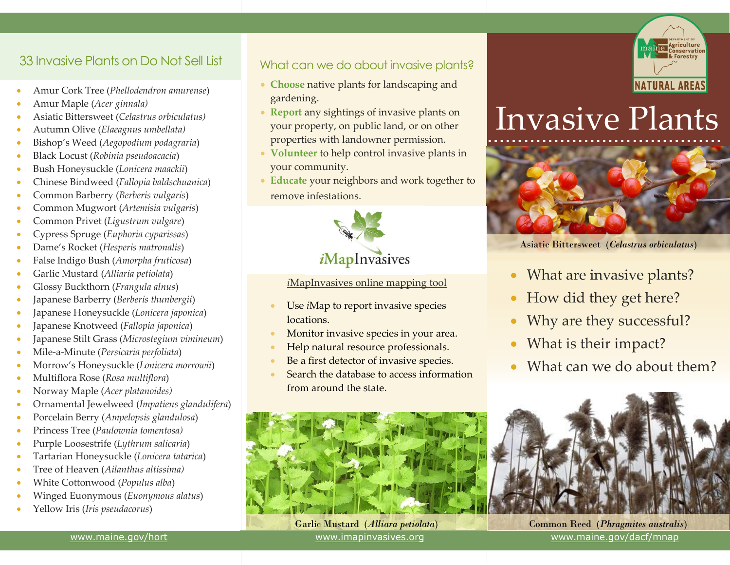## 33 Invasive Plants on Do Not Sell List

- Amur Cork Tree (*Phellodendron amurense*)
- Amur Maple (*Acer ginnala)*
- Asiatic Bittersweet (*Celastrus orbiculatus)*
- Autumn Olive (*Elaeagnus umbellata)*
- Bishop's Weed (*Aegopodium podagraria*)
- Black Locust (*Robinia pseudoacacia*)
- Bush Honeysuckle (*Lonicera maackii*)
- Chinese Bindweed (*Fallopia baldschuanica*)
- Common Barberry (*Berberis vulgaris*)
- Common Mugwort (*Artemisia vulgaris*)
- Common Privet (*Ligustrum vulgare*)
- Cypress Spruge (*Euphoria cyparissas*)
- Dame's Rocket (*Hesperis matronalis*)
- False Indigo Bush (*Amorpha fruticosa*)
- Garlic Mustard (*Alliaria petiolata*)
- Glossy Buckthorn (*Frangula alnus*)
- Japanese Barberry (*Berberis thunbergii*)
- Japanese Honeysuckle (*Lonicera japonica*)
- Japanese Knotweed (*Fallopia japonica*)
- Japanese Stilt Grass (*Microstegium vimineum*)
- Mile-a-Minute (*Persicaria perfoliata*)
- Morrow's Honeysuckle (*Lonicera morrowii*)
- Multiflora Rose (*Rosa multiflora*)
- Norway Maple (*Acer platanoides)*
- Ornamental Jewelweed (*Impatiens glandulifera*)
- Porcelain Berry (*Ampelopsis glandulosa*)
- Princess Tree (*Paulownia tomentosa)*
- Purple Loosestrife (*Lythrum salicaria*)
- Tartarian Honeysuckle (*Lonicera tatarica*)
- Tree of Heaven (*Ailanthus altissima)*
- White Cottonwood (*Populus alba*)
- Winged Euonymous (*Euonymous alatus*)
- Yellow Iris (*Iris pseudacorus*)

#### What can we do about invasive plants?

- **Choose** native plants for landscaping and gardening.
- **Report** any sightings of invasive plants on your property, on public land, or on other properties with landowner permission.
- **Volunteer** to help control invasive plants in your community.
- **Educate** your neighbors and work together to remove infestations.



#### *i*MapInvasives online mapping tool

- Use *i*Map to report invasive species locations.
- Monitor invasive species in your area.
- Help natural resource professionals.
- Be a first detector of invasive species.
- Search the database to access information from around the state.



Garlic Mustard (*Alliara petiolata*) [www.imapinvasives.org](http://www.imapinvasives.org/)



# ………………………………… Invasive Plants



Asiatic Bittersweet (*Celastrus orbiculatus*)

- What are invasive plants?
- How did they get here?
- Why are they successful?
- What is their impact?
- What can we do about them?



Common Reed (*Phragmites australis*) [www.maine.gov/dacf/mnap](http://www.maine.gov/dacf/mnap/)